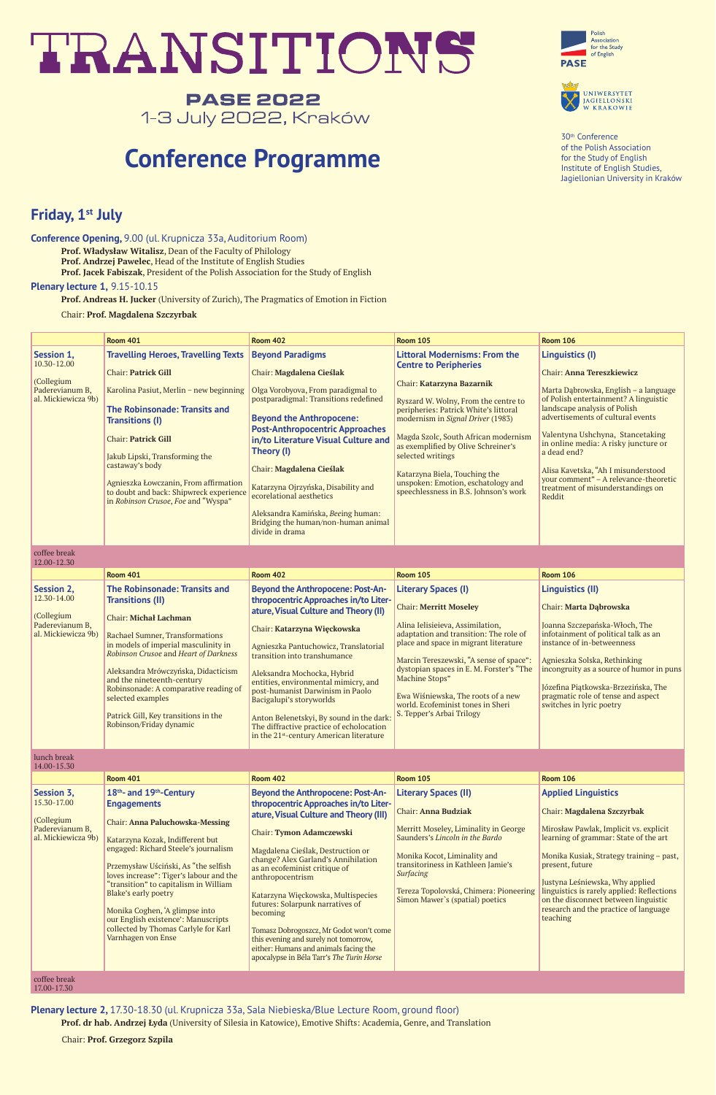# TRANSITIONS

# **PASE 2022** 1-3 July 2022, Kraków

30th Conference of the Polish Association for the Study of English Institute of English Studies, Jagiellonian University in Kraków

**Conference Opening,** 9.00 (ul. Krupnicza 33a, Auditorium Room)

**Prof. Władysław Witalisz**, Dean of the Faculty of Philology

**Prof. Andrzej Pawelec**, Head of the Institute of English Studies

**Prof. Jacek Fabiszak**, President of the Polish Association for the Study of English

#### **Plenary lecture 1,** 9.15-10.15

**Prof. Andreas H. Jucker** (University of Zurich), The Pragmatics of Emotion in Fiction

Chair: **Prof. Magdalena Szczyrbak**





|                                                                                   | <b>Room 401</b>                                                                                                                                                                                                                                                                                                                                                                                                                                               | <b>Room 402</b>                                                                                                                                                                                                                                                                                                                                                                                                                                                                                                                                                 | <b>Room 105</b>                                                                                                                                                                                                                                                                                                                                                                                                                             | <b>Room 106</b>                                                                                                                                                                                                                                                                                                                                                                                                                      |
|-----------------------------------------------------------------------------------|---------------------------------------------------------------------------------------------------------------------------------------------------------------------------------------------------------------------------------------------------------------------------------------------------------------------------------------------------------------------------------------------------------------------------------------------------------------|-----------------------------------------------------------------------------------------------------------------------------------------------------------------------------------------------------------------------------------------------------------------------------------------------------------------------------------------------------------------------------------------------------------------------------------------------------------------------------------------------------------------------------------------------------------------|---------------------------------------------------------------------------------------------------------------------------------------------------------------------------------------------------------------------------------------------------------------------------------------------------------------------------------------------------------------------------------------------------------------------------------------------|--------------------------------------------------------------------------------------------------------------------------------------------------------------------------------------------------------------------------------------------------------------------------------------------------------------------------------------------------------------------------------------------------------------------------------------|
| Session 1,<br>10.30-12.00<br>(Collegium<br>Paderevianum B,<br>al. Mickiewicza 9b) | <b>Travelling Heroes, Travelling Texts</b><br><b>Chair: Patrick Gill</b><br>Karolina Pasiut, Merlin - new beginning<br><b>The Robinsonade: Transits and</b><br><b>Transitions (I)</b><br><b>Chair: Patrick Gill</b><br>Jakub Lipski, Transforming the<br>castaway's body<br>Agnieszka Łowczanin, From affirmation<br>to doubt and back: Shipwreck experience<br>in Robinson Crusoe, Foe and "Wyspa"                                                           | <b>Beyond Paradigms</b><br>Chair: Magdalena Cieślak<br>Olga Vorobyova, From paradigmal to<br>postparadigmal: Transitions redefined<br><b>Beyond the Anthropocene:</b><br><b>Post-Anthropocentric Approaches</b><br>in/to Literature Visual Culture and<br>Theory (I)<br>Chair: Magdalena Cieślak<br>Katarzyna Ojrzyńska, Disability and<br>ecorelational aesthetics<br>Aleksandra Kamińska, Beeing human:<br>Bridging the human/non-human animal<br>divide in drama                                                                                             | <b>Littoral Modernisms: From the</b><br><b>Centre to Peripheries</b><br>Chair: Katarzyna Bazarnik<br>Ryszard W. Wolny, From the centre to<br>peripheries: Patrick White's littoral<br>modernism in Signal Driver (1983)<br>Magda Szolc, South African modernism<br>as exemplified by Olive Schreiner's<br>selected writings<br>Katarzyna Biela, Touching the<br>unspoken: Emotion, eschatology and<br>speechlessness in B.S. Johnson's work | <b>Linguistics (I)</b><br>Chair: Anna Tereszkiewicz<br>Marta Dąbrowska, English - a language<br>of Polish entertainment? A linguistic<br>landscape analysis of Polish<br>advertisements of cultural events<br>Valentyna Ushchyna, Stancetaking<br>in online media: A risky juncture or<br>a dead end?<br>Alisa Kavetska, "Ah I misunderstood<br>your comment" - A relevance-theoretic<br>treatment of misunderstandings on<br>Reddit |
| coffee break<br>12.00-12.30                                                       |                                                                                                                                                                                                                                                                                                                                                                                                                                                               |                                                                                                                                                                                                                                                                                                                                                                                                                                                                                                                                                                 |                                                                                                                                                                                                                                                                                                                                                                                                                                             |                                                                                                                                                                                                                                                                                                                                                                                                                                      |
|                                                                                   | <b>Room 401</b>                                                                                                                                                                                                                                                                                                                                                                                                                                               | <b>Room 402</b>                                                                                                                                                                                                                                                                                                                                                                                                                                                                                                                                                 | <b>Room 105</b>                                                                                                                                                                                                                                                                                                                                                                                                                             | <b>Room 106</b>                                                                                                                                                                                                                                                                                                                                                                                                                      |
| Session 2,<br>12.30-14.00<br>(Collegium<br>Paderevianum B,<br>al. Mickiewicza 9b) | <b>The Robinsonade: Transits and</b><br><b>Transitions (II)</b><br><b>Chair: Michał Lachman</b><br>Rachael Sumner, Transformations<br>in models of imperial masculinity in<br>Robinson Crusoe and Heart of Darkness<br>Aleksandra Mrówczyńska, Didacticism<br>and the nineteenth-century<br>Robinsonade: A comparative reading of<br>selected examples<br>Patrick Gill, Key transitions in the<br>Robinson/Friday dynamic                                     | <b>Beyond the Anthropocene: Post-An-</b><br>thropocentric Approaches in/to Liter-<br>ature, Visual Culture and Theory (II)<br>Chair: Katarzyna Więckowska<br>Agnieszka Pantuchowicz, Translatorial<br>transition into transhumance<br>Aleksandra Mochocka, Hybrid<br>entities, environmental mimicry, and<br>post-humanist Darwinism in Paolo<br>Bacigalupi's storyworlds<br>Anton Belenetskyi, By sound in the dark:<br>The diffractive practice of echolocation<br>in the 21 <sup>st</sup> -century American literature                                       | <b>Literary Spaces (I)</b><br><b>Chair: Merritt Moseley</b><br>Alina Ielisieieva, Assimilation,<br>adaptation and transition: The role of<br>place and space in migrant literature<br>Marcin Tereszewski, "A sense of space":<br>dystopian spaces in E. M. Forster's "The<br><b>Machine Stops"</b><br>Ewa Wiśniewska, The roots of a new<br>world. Ecofeminist tones in Sheri<br>S. Tepper's Arbai Trilogy                                  | <b>Linguistics (II)</b><br>Chair: Marta Dąbrowska<br>Joanna Szczepańska-Włoch, The<br>infotainment of political talk as an<br>instance of in-betweenness<br>Agnieszka Solska, Rethinking<br>incongruity as a source of humor in puns<br>Józefina Piątkowska-Brzezińska, The<br>pragmatic role of tense and aspect<br>switches in lyric poetry                                                                                        |
| lunch break<br>14.00-15.30                                                        |                                                                                                                                                                                                                                                                                                                                                                                                                                                               |                                                                                                                                                                                                                                                                                                                                                                                                                                                                                                                                                                 |                                                                                                                                                                                                                                                                                                                                                                                                                                             |                                                                                                                                                                                                                                                                                                                                                                                                                                      |
|                                                                                   | <b>Room 401</b>                                                                                                                                                                                                                                                                                                                                                                                                                                               | <b>Room 402</b>                                                                                                                                                                                                                                                                                                                                                                                                                                                                                                                                                 | <b>Room 105</b>                                                                                                                                                                                                                                                                                                                                                                                                                             | <b>Room 106</b>                                                                                                                                                                                                                                                                                                                                                                                                                      |
| Session 3,<br>15.30-17.00<br>(Collegium<br>Paderevianum B,<br>al. Mickiewicza 9b) | 18th- and 19th-Century<br><b>Engagements</b><br><b>Chair: Anna Paluchowska-Messing</b><br>Katarzyna Kozak, Indifferent but<br>engaged: Richard Steele's journalism<br>Przemysław Uściński, As "the selfish<br>loves increase": Tiger's labour and the<br>"transition" to capitalism in William<br>Blake's early poetry<br>Monika Coghen, 'A glimpse into<br>our English existence': Manuscripts<br>collected by Thomas Carlyle for Karl<br>Varnhagen von Ense | <b>Beyond the Anthropocene: Post-An-</b><br>thropocentric Approaches in/to Liter-<br>ature, Visual Culture and Theory (III)<br><b>Chair: Tymon Adamczewski</b><br>Magdalena Cieślak, Destruction or<br>change? Alex Garland's Annihilation<br>as an ecofeminist critique of<br>anthropocentrism<br>Katarzyna Więckowska, Multispecies<br>futures: Solarpunk narratives of<br>becoming<br>Tomasz Dobrogoszcz, Mr Godot won't come<br>this evening and surely not tomorrow,<br>either: Humans and animals facing the<br>apocalypse in Béla Tarr's The Turin Horse | <b>Literary Spaces (II)</b><br><b>Chair: Anna Budziak</b><br>Merritt Moseley, Liminality in George<br>Saunders's Lincoln in the Bardo<br>Monika Kocot, Liminality and<br>transitoriness in Kathleen Jamie's<br><b>Surfacing</b><br>Tereza Topolovská, Chimera: Pioneering<br>Simon Mawer's (spatial) poetics                                                                                                                                | <b>Applied Linguistics</b><br>Chair: Magdalena Szczyrbak<br>Mirosław Pawlak, Implicit vs. explicit<br>learning of grammar: State of the art<br>Monika Kusiak, Strategy training - past,<br>present, future<br>Justyna Leśniewska, Why applied<br>linguistics is rarely applied: Reflections<br>on the disconnect between linguistic<br>research and the practice of language<br>teaching                                             |
| coffee break<br>17.00-17.30                                                       |                                                                                                                                                                                                                                                                                                                                                                                                                                                               |                                                                                                                                                                                                                                                                                                                                                                                                                                                                                                                                                                 |                                                                                                                                                                                                                                                                                                                                                                                                                                             |                                                                                                                                                                                                                                                                                                                                                                                                                                      |

**Plenary lecture 2,** 17.30-18.30 (ul. Krupnicza 33a, Sala Niebieska/Blue Lecture Room, ground floor)

**Prof. dr hab. Andrzej Łyda** (University of Silesia in Katowice), Emotive Shifts: Academia, Genre, and Translation

Chair: **Prof. Grzegorz Szpila**

# **Conference Programme**

# **Friday, 1st July**